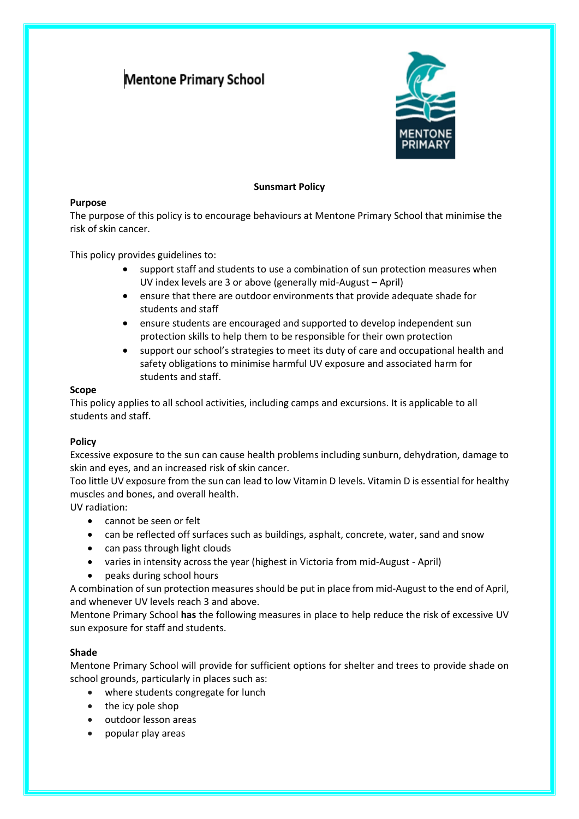# **Mentone Primary School**



# **Sunsmart Policy**

# **Purpose**

The purpose of this policy is to encourage behaviours at Mentone Primary School that minimise the risk of skin cancer.

This policy provides guidelines to:

- support staff and students to use a combination of sun protection measures when UV index levels are 3 or above (generally mid-August – April)
- ensure that there are outdoor environments that provide adequate shade for students and staff
- ensure students are encouraged and supported to develop independent sun protection skills to help them to be responsible for their own protection
- support our school's strategies to meet its duty of care and occupational health and safety obligations to minimise harmful UV exposure and associated harm for students and staff.

# **Scope**

This policy applies to all school activities, including camps and excursions. It is applicable to all students and staff.

# **Policy**

Excessive exposure to the sun can cause health problems including sunburn, dehydration, damage to skin and eyes, and an increased risk of skin cancer.

Too little UV exposure from the sun can lead to low Vitamin D levels. Vitamin D is essential for healthy muscles and bones, and overall health.

UV radiation:

- cannot be seen or felt
- can be reflected off surfaces such as buildings, asphalt, concrete, water, sand and snow
- can pass through light clouds
- varies in intensity across the year (highest in Victoria from mid-August April)
- peaks during school hours

A combination of sun protection measures should be put in place from mid-August to the end of April, and whenever UV levels reach 3 and above.

Mentone Primary School **has** the following measures in place to help reduce the risk of excessive UV sun exposure for staff and students.

# **Shade**

Mentone Primary School will provide for sufficient options for shelter and trees to provide shade on school grounds, particularly in places such as:

- where students congregate for lunch
- the icy pole shop
- outdoor lesson areas
- popular play areas